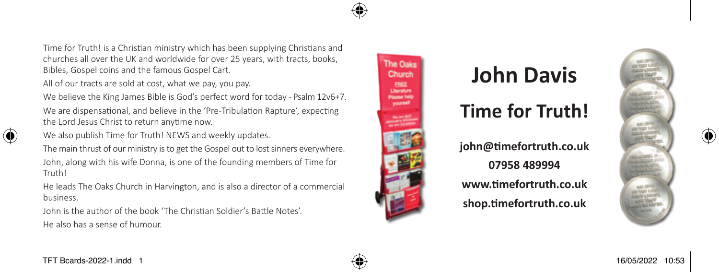Time for Truth! is a Christian ministry which has been supplying Christians and churches all over the UK and worldwide for over 25 years, with tracts, books, Bibles, Gospel coins and the famous Gospel Cart.

All of our tracts are sold at cost, what we pay, you pay.

We believe the King James Bible is God's perfect word for today - Psalm 12v6+7. We are dispensational, and believe in the 'Pre-Tribulation Rapture', expecting the Lord Jesus Christ to return anytime now.

We also publish Time for Truth! NEWS and weekly updates.

The main thrust of our ministry is to get the Gospel out to lost sinners everywhere.

John, along with his wife Donna, is one of the founding members of Time for Truth!

He leads The Oaks Church in Harvington, and is also a director of a commercial business.

John is the author of the book 'The Christian Soldier's Battle Notes'. He also has a sense of humour.



## **John Davis**

## **Time for Truth!**

**john@timefortruth.co.uk 07958 489994 www.timefortruth.co.uk**

**shop.timefortruth.co.uk**





⊕